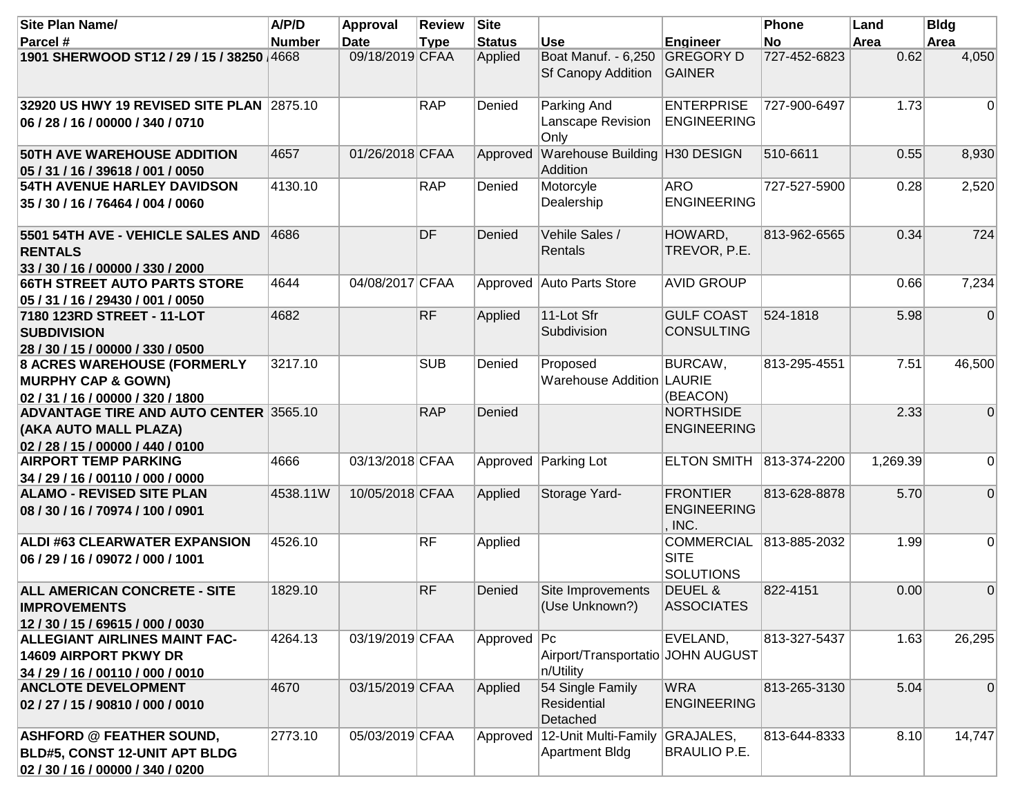| <b>Site Plan Name/</b>                                                                                       | A/P/D         | Approval        | <b>Review</b> | Site          |                                                            |                                                      | Phone        | Land     | <b>Bldg</b>    |
|--------------------------------------------------------------------------------------------------------------|---------------|-----------------|---------------|---------------|------------------------------------------------------------|------------------------------------------------------|--------------|----------|----------------|
| Parcel #                                                                                                     | <b>Number</b> | <b>Date</b>     | <b>Type</b>   | <b>Status</b> | <b>Use</b>                                                 | <b>Engineer</b>                                      | <b>No</b>    | Area     | Area           |
| 1901 SHERWOOD ST12 / 29 / 15 / 38250 4668                                                                    |               | 09/18/2019 CFAA |               | Applied       | Boat Manuf. - 6,250 GREGORY D<br><b>Sf Canopy Addition</b> | <b>GAINER</b>                                        | 727-452-6823 | 0.62     | 4,050          |
| 32920 US HWY 19 REVISED SITE PLAN 2875.10<br>06 / 28 / 16 / 00000 / 340 / 0710                               |               |                 | <b>RAP</b>    | Denied        | Parking And<br>Lanscape Revision<br>Only                   | <b>ENTERPRISE</b><br><b>ENGINEERING</b>              | 727-900-6497 | 1.73     | 0              |
| <b>50TH AVE WAREHOUSE ADDITION</b><br>05 / 31 / 16 / 39618 / 001 / 0050                                      | 4657          | 01/26/2018 CFAA |               | Approved      | Warehouse Building H30 DESIGN<br>Addition                  |                                                      | 510-6611     | 0.55     | 8,930          |
| <b>54TH AVENUE HARLEY DAVIDSON</b><br>35/30/16/76464/004/0060                                                | 4130.10       |                 | <b>RAP</b>    | Denied        | Motorcyle<br>Dealership                                    | <b>ARO</b><br><b>ENGINEERING</b>                     | 727-527-5900 | 0.28     | 2,520          |
| 5501 54TH AVE - VEHICLE SALES AND<br><b>RENTALS</b><br>33 / 30 / 16 / 00000 / 330 / 2000                     | 4686          |                 | DF            | Denied        | Vehile Sales /<br>Rentals                                  | HOWARD,<br>TREVOR, P.E.                              | 813-962-6565 | 0.34     | 724            |
| <b>66TH STREET AUTO PARTS STORE</b><br>05 / 31 / 16 / 29430 / 001 / 0050                                     | 4644          | 04/08/2017 CFAA |               | Approved      | Auto Parts Store                                           | <b>AVID GROUP</b>                                    |              | 0.66     | 7,234          |
| 7180 123RD STREET - 11-LOT<br><b>SUBDIVISION</b><br>28 / 30 / 15 / 00000 / 330 / 0500                        | 4682          |                 | <b>RF</b>     | Applied       | 11-Lot Sfr<br>Subdivision                                  | <b>GULF COAST</b><br><b>CONSULTING</b>               | 524-1818     | 5.98     | $\Omega$       |
| <b>8 ACRES WAREHOUSE (FORMERLY</b><br><b>MURPHY CAP &amp; GOWN)</b><br>02 / 31 / 16 / 00000 / 320 / 1800     | 3217.10       |                 | <b>SUB</b>    | Denied        | Proposed<br><b>Warehouse Addition LAURIE</b>               | BURCAW,<br>(BEACON)                                  | 813-295-4551 | 7.51     | 46,500         |
| <b>ADVANTAGE TIRE AND AUTO CENTER 3565.10</b><br>(AKA AUTO MALL PLAZA)<br>02 / 28 / 15 / 00000 / 440 / 0100  |               |                 | <b>RAP</b>    | Denied        |                                                            | <b>NORTHSIDE</b><br><b>ENGINEERING</b>               |              | 2.33     | $\Omega$       |
| <b>AIRPORT TEMP PARKING</b><br>34 / 29 / 16 / 00110 / 000 / 0000                                             | 4666          | 03/13/2018 CFAA |               |               | Approved Parking Lot                                       | <b>ELTON SMITH</b>                                   | 813-374-2200 | 1,269.39 | $\overline{0}$ |
| <b>ALAMO - REVISED SITE PLAN</b><br>08 / 30 / 16 / 70974 / 100 / 0901                                        | 4538.11W      | 10/05/2018 CFAA |               | Applied       | Storage Yard-                                              | <b>FRONTIER</b><br><b>ENGINEERING</b><br>, INC.      | 813-628-8878 | 5.70     | $\mathbf 0$    |
| <b>ALDI #63 CLEARWATER EXPANSION</b><br>06 / 29 / 16 / 09072 / 000 / 1001                                    | 4526.10       |                 | <b>RF</b>     | Applied       |                                                            | <b>COMMERCIAL</b><br><b>SITE</b><br><b>SOLUTIONS</b> | 813-885-2032 | 1.99     | $\Omega$       |
| <b>ALL AMERICAN CONCRETE - SITE</b><br><b>IMPROVEMENTS</b><br>12/30/15/69615/000/0030                        | 1829.10       |                 | <b>RF</b>     | Denied        | Site Improvements<br>(Use Unknown?)                        | DEUEL &<br><b>ASSOCIATES</b>                         | 822-4151     | 0.00     | $\mathbf 0$    |
| <b>ALLEGIANT AIRLINES MAINT FAC-</b><br>14609 AIRPORT PKWY DR<br>34 / 29 / 16 / 00110 / 000 / 0010           | 4264.13       | 03/19/2019 CFAA |               | Approved   Pc | Airport/Transportatio JOHN AUGUST<br>n/Utility             | EVELAND,                                             | 813-327-5437 | 1.63     | 26,295         |
| <b>ANCLOTE DEVELOPMENT</b><br>02 / 27 / 15 / 90810 / 000 / 0010                                              | 4670          | 03/15/2019 CFAA |               | Applied       | 54 Single Family<br>Residential<br>Detached                | <b>WRA</b><br><b>ENGINEERING</b>                     | 813-265-3130 | 5.04     | $\mathbf 0$    |
| <b>ASHFORD @ FEATHER SOUND,</b><br><b>BLD#5, CONST 12-UNIT APT BLDG</b><br>02 / 30 / 16 / 00000 / 340 / 0200 | 2773.10       | 05/03/2019 CFAA |               |               | Approved 12-Unit Multi-Family<br><b>Apartment Bldg</b>     | GRAJALES,<br><b>BRAULIO P.E.</b>                     | 813-644-8333 | 8.10     | 14,747         |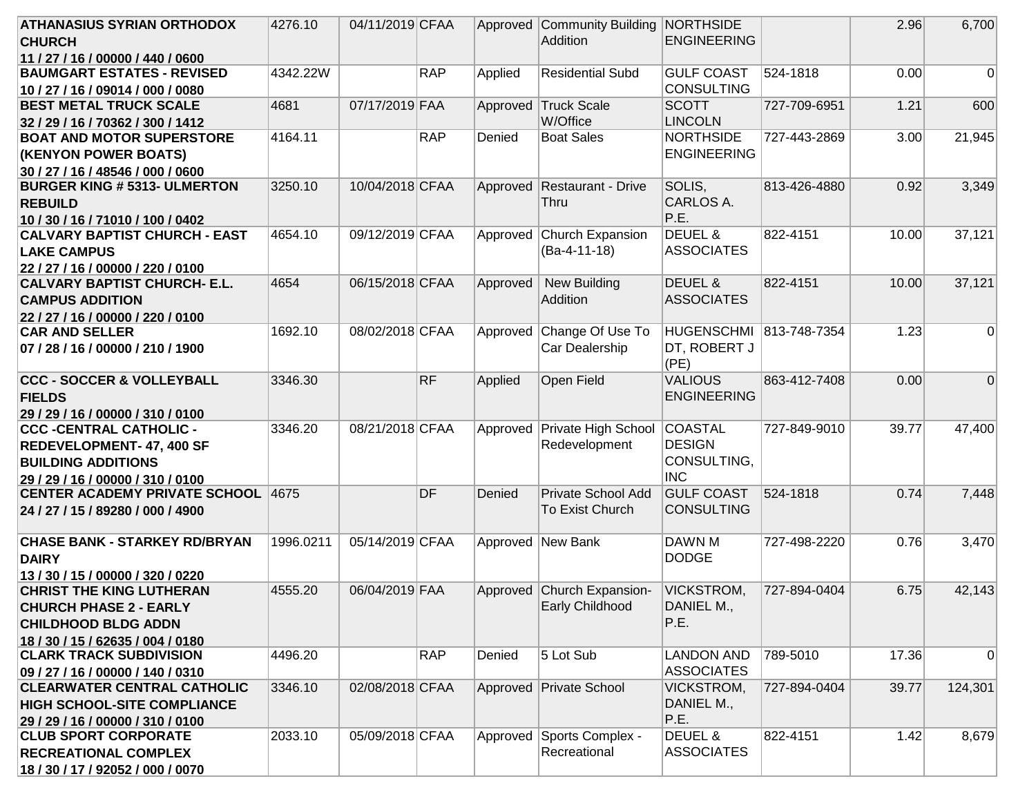| <b>ATHANASIUS SYRIAN ORTHODOX</b>                          | 4276.10   | 04/11/2019 CFAA |            |          | Approved Community Building NORTHSIDE |                    |              | 2.96  | 6,700    |
|------------------------------------------------------------|-----------|-----------------|------------|----------|---------------------------------------|--------------------|--------------|-------|----------|
| <b>CHURCH</b>                                              |           |                 |            |          | Addition                              | <b>ENGINEERING</b> |              |       |          |
| 11 / 27 / 16 / 00000 / 440 / 0600                          |           |                 |            |          |                                       |                    |              |       |          |
| <b>BAUMGART ESTATES - REVISED</b>                          | 4342.22W  |                 | <b>RAP</b> | Applied  | <b>Residential Subd</b>               | <b>GULF COAST</b>  | 524-1818     | 0.00  | 0        |
| 10 / 27 / 16 / 09014 / 000 / 0080                          |           |                 |            |          |                                       | <b>CONSULTING</b>  |              |       |          |
| <b>BEST METAL TRUCK SCALE</b>                              | 4681      | 07/17/2019 FAA  |            |          | Approved Truck Scale                  | <b>SCOTT</b>       | 727-709-6951 | 1.21  | 600      |
| 32 / 29 / 16 / 70362 / 300 / 1412                          |           |                 |            |          | W/Office                              | <b>LINCOLN</b>     |              |       |          |
| <b>BOAT AND MOTOR SUPERSTORE</b>                           | 4164.11   |                 | <b>RAP</b> | Denied   | <b>Boat Sales</b>                     | NORTHSIDE          | 727-443-2869 | 3.00  | 21,945   |
| <b>(KENYON POWER BOATS)</b>                                |           |                 |            |          |                                       | <b>ENGINEERING</b> |              |       |          |
| 30 / 27 / 16 / 48546 / 000 / 0600                          |           |                 |            |          |                                       |                    |              |       |          |
| <b>BURGER KING # 5313- ULMERTON</b>                        | 3250.10   | 10/04/2018 CFAA |            |          | Approved Restaurant - Drive           | SOLIS,             | 813-426-4880 | 0.92  | 3,349    |
| <b>REBUILD</b>                                             |           |                 |            |          | <b>Thru</b>                           | CARLOS A.          |              |       |          |
| 10 / 30 / 16 / 71010 / 100 / 0402                          |           |                 |            |          |                                       | P.E.               |              |       |          |
| <b>CALVARY BAPTIST CHURCH - EAST</b>                       | 4654.10   | 09/12/2019 CFAA |            |          | Approved Church Expansion             | <b>DEUEL &amp;</b> | 822-4151     | 10.00 | 37,121   |
| <b>LAKE CAMPUS</b>                                         |           |                 |            |          | (Ba-4-11-18)                          | <b>ASSOCIATES</b>  |              |       |          |
| 22 / 27 / 16 / 00000 / 220 / 0100                          |           |                 |            |          |                                       |                    |              |       |          |
| <b>CALVARY BAPTIST CHURCH- E.L.</b>                        | 4654      | 06/15/2018 CFAA |            | Approved | <b>New Building</b>                   | DEUEL &            | 822-4151     | 10.00 | 37,121   |
| <b>CAMPUS ADDITION</b>                                     |           |                 |            |          | Addition                              | <b>ASSOCIATES</b>  |              |       |          |
| 22 / 27 / 16 / 00000 / 220 / 0100                          |           |                 |            |          |                                       |                    |              |       |          |
| <b>CAR AND SELLER</b>                                      | 1692.10   | 08/02/2018 CFAA |            | Approved | Change Of Use To                      | <b>HUGENSCHMI</b>  | 813-748-7354 | 1.23  | 0        |
| 07 / 28 / 16 / 00000 / 210 / 1900                          |           |                 |            |          | Car Dealership                        | DT, ROBERT J       |              |       |          |
|                                                            |           |                 |            |          |                                       | (PE)               |              |       |          |
| <b>CCC - SOCCER &amp; VOLLEYBALL</b>                       | 3346.30   |                 | RF         | Applied  | Open Field                            | <b>VALIOUS</b>     | 863-412-7408 | 0.00  | $\Omega$ |
| <b>FIELDS</b>                                              |           |                 |            |          |                                       | <b>ENGINEERING</b> |              |       |          |
| 29 / 29 / 16 / 00000 / 310 / 0100                          |           |                 |            |          |                                       |                    |              |       |          |
| <b>CCC -CENTRAL CATHOLIC -</b>                             | 3346.20   | 08/21/2018 CFAA |            |          | Approved Private High School          | <b>COASTAL</b>     | 727-849-9010 | 39.77 | 47,400   |
| <b>REDEVELOPMENT-47, 400 SF</b>                            |           |                 |            |          | Redevelopment                         | <b>DESIGN</b>      |              |       |          |
| <b>BUILDING ADDITIONS</b>                                  |           |                 |            |          |                                       | CONSULTING,        |              |       |          |
| 29 / 29 / 16 / 00000 / 310 / 0100                          |           |                 |            |          |                                       | <b>INC</b>         |              |       |          |
| <b>CENTER ACADEMY PRIVATE SCHOOL 4675</b>                  |           |                 | DF.        | Denied   | Private School Add                    | <b>GULF COAST</b>  | 524-1818     | 0.74  | 7,448    |
| 24 / 27 / 15 / 89280 / 000 / 4900                          |           |                 |            |          | To Exist Church                       | <b>CONSULTING</b>  |              |       |          |
|                                                            | 1996.0211 | 05/14/2019 CFAA |            |          |                                       | <b>DAWN M</b>      | 727-498-2220 |       | 3,470    |
| <b>CHASE BANK - STARKEY RD/BRYAN</b>                       |           |                 |            |          | Approved New Bank                     | <b>DODGE</b>       |              | 0.76  |          |
| <b>DAIRY</b>                                               |           |                 |            |          |                                       |                    |              |       |          |
| 13/30/15/00000/320/0220<br><b>CHRIST THE KING LUTHERAN</b> | 4555.20   | 06/04/2019 FAA  |            |          | Approved Church Expansion-            | <b>VICKSTROM,</b>  | 727-894-0404 | 6.75  | 42,143   |
| <b>CHURCH PHASE 2 - EARLY</b>                              |           |                 |            |          | Early Childhood                       | DANIEL M.,         |              |       |          |
| <b>CHILDHOOD BLDG ADDN</b>                                 |           |                 |            |          |                                       | P.E.               |              |       |          |
| 18 / 30 / 15 / 62635 / 004 / 0180                          |           |                 |            |          |                                       |                    |              |       |          |
| <b>CLARK TRACK SUBDIVISION</b>                             | 4496.20   |                 | <b>RAP</b> | Denied   | 5 Lot Sub                             | <b>LANDON AND</b>  | 789-5010     | 17.36 | 0        |
| 09 / 27 / 16 / 00000 / 140 / 0310                          |           |                 |            |          |                                       | <b>ASSOCIATES</b>  |              |       |          |
| <b>CLEARWATER CENTRAL CATHOLIC</b>                         | 3346.10   | 02/08/2018 CFAA |            |          | Approved Private School               | <b>VICKSTROM,</b>  | 727-894-0404 | 39.77 | 124,301  |
| <b>HIGH SCHOOL-SITE COMPLIANCE</b>                         |           |                 |            |          |                                       | DANIEL M.,         |              |       |          |
| 29 / 29 / 16 / 00000 / 310 / 0100                          |           |                 |            |          |                                       | P.E.               |              |       |          |
| <b>CLUB SPORT CORPORATE</b>                                | 2033.10   | 05/09/2018 CFAA |            |          | Approved Sports Complex -             | DEUEL &            | 822-4151     | 1.42  | 8,679    |
| <b>RECREATIONAL COMPLEX</b>                                |           |                 |            |          | Recreational                          | <b>ASSOCIATES</b>  |              |       |          |
| 18 / 30 / 17 / 92052 / 000 / 0070                          |           |                 |            |          |                                       |                    |              |       |          |
|                                                            |           |                 |            |          |                                       |                    |              |       |          |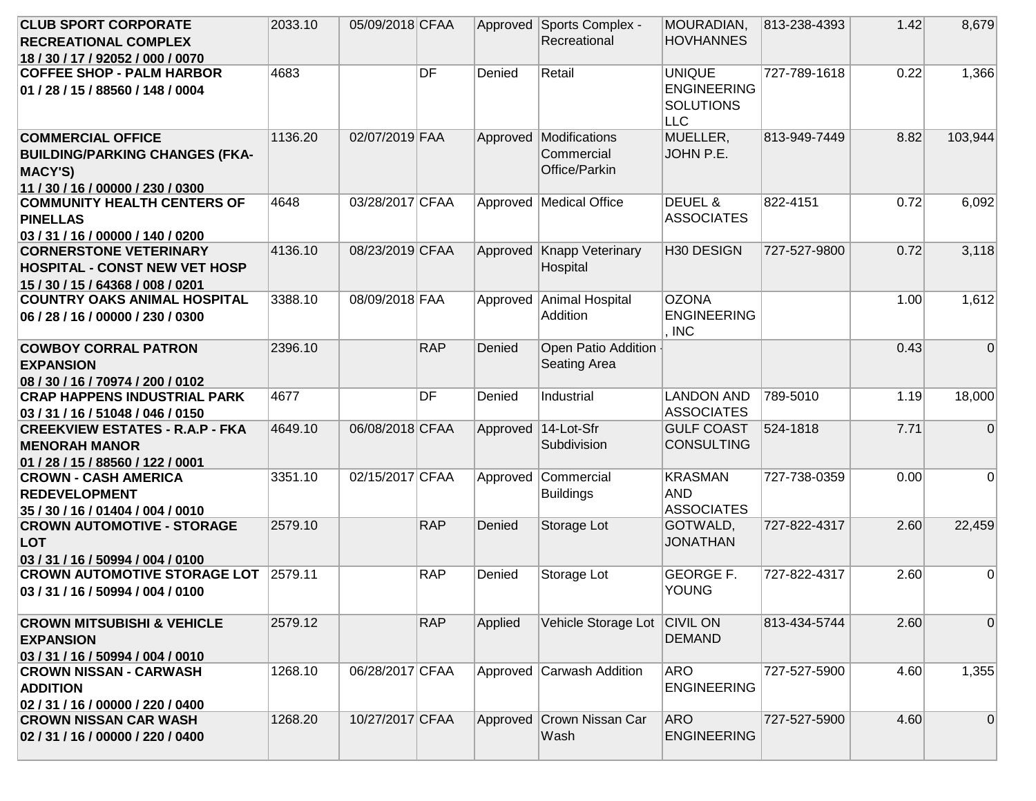| <b>CLUB SPORT CORPORATE</b>                                              | 2033.10 | 05/09/2018 CFAA |            |         | Approved Sports Complex -    | MOURADIAN,         | 813-238-4393 | 1.42 | 8,679       |
|--------------------------------------------------------------------------|---------|-----------------|------------|---------|------------------------------|--------------------|--------------|------|-------------|
| <b>RECREATIONAL COMPLEX</b>                                              |         |                 |            |         | Recreational                 | <b>HOVHANNES</b>   |              |      |             |
| 18 / 30 / 17 / 92052 / 000 / 0070                                        |         |                 |            |         |                              |                    |              |      |             |
| <b>COFFEE SHOP - PALM HARBOR</b>                                         | 4683    |                 | <b>DF</b>  | Denied  | Retail                       | <b>UNIQUE</b>      | 727-789-1618 | 0.22 | 1,366       |
| 01 / 28 / 15 / 88560 / 148 / 0004                                        |         |                 |            |         |                              | <b>ENGINEERING</b> |              |      |             |
|                                                                          |         |                 |            |         |                              | <b>SOLUTIONS</b>   |              |      |             |
|                                                                          |         |                 |            |         |                              | <b>LLC</b>         |              |      |             |
| <b>COMMERCIAL OFFICE</b>                                                 | 1136.20 | 02/07/2019 FAA  |            |         | Approved Modifications       | MUELLER,           | 813-949-7449 | 8.82 | 103,944     |
| <b>BUILDING/PARKING CHANGES (FKA-</b>                                    |         |                 |            |         | Commercial                   | JOHN P.E.          |              |      |             |
| <b>MACY'S)</b>                                                           |         |                 |            |         | Office/Parkin                |                    |              |      |             |
|                                                                          |         |                 |            |         |                              |                    |              |      |             |
| 11 / 30 / 16 / 00000 / 230 / 0300<br><b>COMMUNITY HEALTH CENTERS OF</b>  | 4648    | 03/28/2017 CFAA |            |         | Approved Medical Office      | DEUEL &            | 822-4151     | 0.72 | 6,092       |
|                                                                          |         |                 |            |         |                              |                    |              |      |             |
| <b>PINELLAS</b>                                                          |         |                 |            |         |                              | <b>ASSOCIATES</b>  |              |      |             |
| 03 / 31 / 16 / 00000 / 140 / 0200                                        |         |                 |            |         |                              |                    |              |      |             |
| <b>CORNERSTONE VETERINARY</b>                                            | 4136.10 | 08/23/2019 CFAA |            |         | Approved Knapp Veterinary    | H30 DESIGN         | 727-527-9800 | 0.72 | 3,118       |
| <b>HOSPITAL - CONST NEW VET HOSP</b>                                     |         |                 |            |         | Hospital                     |                    |              |      |             |
| 15 / 30 / 15 / 64368 / 008 / 0201                                        |         |                 |            |         |                              |                    |              |      |             |
| <b>COUNTRY OAKS ANIMAL HOSPITAL</b>                                      | 3388.10 | 08/09/2018 FAA  |            |         | Approved Animal Hospital     | <b>OZONA</b>       |              | 1.00 | 1,612       |
| 06 / 28 / 16 / 00000 / 230 / 0300                                        |         |                 |            |         | Addition                     | <b>ENGINEERING</b> |              |      |             |
|                                                                          |         |                 |            |         |                              | , INC              |              |      |             |
| <b>COWBOY CORRAL PATRON</b>                                              | 2396.10 |                 | <b>RAP</b> | Denied  | Open Patio Addition          |                    |              | 0.43 | $\Omega$    |
| <b>EXPANSION</b>                                                         |         |                 |            |         | <b>Seating Area</b>          |                    |              |      |             |
| 08 / 30 / 16 / 70974 / 200 / 0102                                        |         |                 |            |         |                              |                    |              |      |             |
| <b>CRAP HAPPENS INDUSTRIAL PARK</b>                                      | 4677    |                 | <b>DF</b>  | Denied  | Industrial                   | <b>LANDON AND</b>  | 789-5010     | 1.19 | 18,000      |
| 03 / 31 / 16 / 51048 / 046 / 0150                                        |         |                 |            |         |                              | <b>ASSOCIATES</b>  |              |      |             |
| <b>CREEKVIEW ESTATES - R.A.P - FKA</b>                                   | 4649.10 | 06/08/2018 CFAA |            |         | Approved 14-Lot-Sfr          | <b>GULF COAST</b>  | 524-1818     | 7.71 | $\Omega$    |
| <b>MENORAH MANOR</b>                                                     |         |                 |            |         | Subdivision                  | <b>CONSULTING</b>  |              |      |             |
| 01 / 28 / 15 / 88560 / 122 / 0001                                        |         |                 |            |         |                              |                    |              |      |             |
| <b>CROWN - CASH AMERICA</b>                                              | 3351.10 | 02/15/2017 CFAA |            |         | Approved Commercial          | <b>KRASMAN</b>     | 727-738-0359 | 0.00 | $\Omega$    |
| <b>REDEVELOPMENT</b>                                                     |         |                 |            |         | <b>Buildings</b>             | <b>AND</b>         |              |      |             |
| 35/30/16/01404/004/0010                                                  |         |                 |            |         |                              | <b>ASSOCIATES</b>  |              |      |             |
| <b>CROWN AUTOMOTIVE - STORAGE</b>                                        | 2579.10 |                 | <b>RAP</b> | Denied  | Storage Lot                  | GOTWALD,           | 727-822-4317 | 2.60 | 22,459      |
| <b>LOT</b>                                                               |         |                 |            |         |                              | <b>JONATHAN</b>    |              |      |             |
|                                                                          |         |                 |            |         |                              |                    |              |      |             |
| 03 / 31 / 16 / 50994 / 004 / 0100<br><b>CROWN AUTOMOTIVE STORAGE LOT</b> | 2579.11 |                 | <b>RAP</b> | Denied  | Storage Lot                  | <b>GEORGE F.</b>   | 727-822-4317 | 2.60 | $\Omega$    |
|                                                                          |         |                 |            |         |                              | <b>YOUNG</b>       |              |      |             |
| 03 / 31 / 16 / 50994 / 004 / 0100                                        |         |                 |            |         |                              |                    |              |      |             |
|                                                                          |         |                 |            |         |                              |                    |              |      |             |
| <b>CROWN MITSUBISHI &amp; VEHICLE</b>                                    | 2579.12 |                 | <b>RAP</b> | Applied | Vehicle Storage Lot CIVIL ON |                    | 813-434-5744 | 2.60 | $\mathbf 0$ |
| <b>EXPANSION</b>                                                         |         |                 |            |         |                              | <b>DEMAND</b>      |              |      |             |
| 03 / 31 / 16 / 50994 / 004 / 0010                                        |         |                 |            |         |                              |                    |              |      |             |
| <b>CROWN NISSAN - CARWASH</b>                                            | 1268.10 | 06/28/2017 CFAA |            |         | Approved Carwash Addition    | <b>ARO</b>         | 727-527-5900 | 4.60 | 1,355       |
| <b>ADDITION</b>                                                          |         |                 |            |         |                              | <b>ENGINEERING</b> |              |      |             |
| 02 / 31 / 16 / 00000 / 220 / 0400                                        |         |                 |            |         |                              |                    |              |      |             |
| <b>CROWN NISSAN CAR WASH</b>                                             | 1268.20 | 10/27/2017 CFAA |            |         | Approved Crown Nissan Car    | <b>ARO</b>         | 727-527-5900 | 4.60 | $\mathbf 0$ |
| 02 / 31 / 16 / 00000 / 220 / 0400                                        |         |                 |            |         | Wash                         | <b>ENGINEERING</b> |              |      |             |
|                                                                          |         |                 |            |         |                              |                    |              |      |             |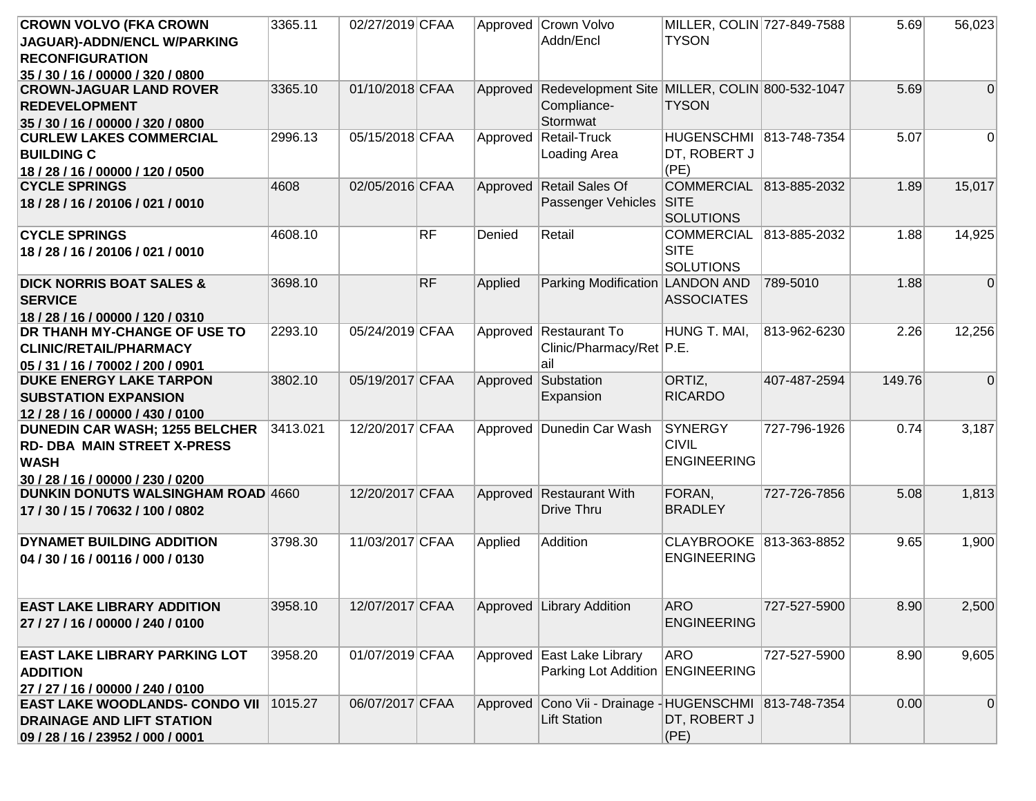| <b>CROWN VOLVO (FKA CROWN</b>                             | 3365.11  | 02/27/2019 CFAA |    |         | Approved Crown Volvo                                   | MILLER, COLIN 727-849-7588 |              | 5.69   | 56,023   |
|-----------------------------------------------------------|----------|-----------------|----|---------|--------------------------------------------------------|----------------------------|--------------|--------|----------|
| JAGUAR)-ADDN/ENCL W/PARKING                               |          |                 |    |         | Addn/Encl                                              | <b>TYSON</b>               |              |        |          |
| <b>RECONFIGURATION</b>                                    |          |                 |    |         |                                                        |                            |              |        |          |
| 35/30/16/00000/320/0800                                   |          |                 |    |         |                                                        |                            |              |        |          |
| <b>CROWN-JAGUAR LAND ROVER</b>                            | 3365.10  | 01/10/2018 CFAA |    |         | Approved Redevelopment Site MILLER, COLIN 800-532-1047 |                            |              | 5.69   | $\Omega$ |
| <b>REDEVELOPMENT</b>                                      |          |                 |    |         | Compliance-                                            | <b>TYSON</b>               |              |        |          |
| 35 / 30 / 16 / 00000 / 320 / 0800                         |          |                 |    |         | Stormwat                                               |                            |              |        |          |
| <b>CURLEW LAKES COMMERCIAL</b>                            | 2996.13  | 05/15/2018 CFAA |    |         | Approved   Retail-Truck                                | HUGENSCHMI 813-748-7354    |              | 5.07   | 0        |
| <b>BUILDING C</b>                                         |          |                 |    |         | Loading Area                                           | DT, ROBERT J<br>(PE)       |              |        |          |
| 18 / 28 / 16 / 00000 / 120 / 0500<br><b>CYCLE SPRINGS</b> | 4608     | 02/05/2016 CFAA |    |         | Approved Retail Sales Of                               | <b>COMMERCIAL</b>          | 813-885-2032 | 1.89   | 15,017   |
| 18 / 28 / 16 / 20106 / 021 / 0010                         |          |                 |    |         | Passenger Vehicles                                     | <b>SITE</b>                |              |        |          |
|                                                           |          |                 |    |         |                                                        | <b>SOLUTIONS</b>           |              |        |          |
| <b>CYCLE SPRINGS</b>                                      | 4608.10  |                 | RF | Denied  | Retail                                                 | <b>COMMERCIAL</b>          | 813-885-2032 | 1.88   | 14,925   |
| 18 / 28 / 16 / 20106 / 021 / 0010                         |          |                 |    |         |                                                        | <b>SITE</b>                |              |        |          |
|                                                           |          |                 |    |         |                                                        | <b>SOLUTIONS</b>           |              |        |          |
| <b>DICK NORRIS BOAT SALES &amp;</b>                       | 3698.10  |                 | RF | Applied | Parking Modification LANDON AND                        |                            | 789-5010     | 1.88   | $\Omega$ |
| <b>SERVICE</b>                                            |          |                 |    |         |                                                        | <b>ASSOCIATES</b>          |              |        |          |
| 18 / 28 / 16 / 00000 / 120 / 0310                         |          |                 |    |         |                                                        |                            |              |        |          |
| DR THANH MY-CHANGE OF USE TO                              | 2293.10  | 05/24/2019 CFAA |    |         | Approved Restaurant To                                 | HUNG T. MAI,               | 813-962-6230 | 2.26   | 12,256   |
| <b>CLINIC/RETAIL/PHARMACY</b>                             |          |                 |    |         | Clinic/Pharmacy/Ret   P.E.                             |                            |              |        |          |
| 05 / 31 / 16 / 70002 / 200 / 0901                         |          |                 |    |         | lail                                                   |                            |              |        |          |
| <b>DUKE ENERGY LAKE TARPON</b>                            | 3802.10  | 05/19/2017 CFAA |    |         | Approved Substation                                    | ORTIZ,                     | 407-487-2594 | 149.76 | $\Omega$ |
| <b>SUBSTATION EXPANSION</b>                               |          |                 |    |         | Expansion                                              | <b>RICARDO</b>             |              |        |          |
| 12 / 28 / 16 / 00000 / 430 / 0100                         |          |                 |    |         |                                                        |                            |              |        |          |
| <b>DUNEDIN CAR WASH; 1255 BELCHER</b>                     | 3413.021 | 12/20/2017 CFAA |    |         | Approved Dunedin Car Wash                              | <b>SYNERGY</b>             | 727-796-1926 | 0.74   | 3,187    |
| <b>RD- DBA MAIN STREET X-PRESS</b>                        |          |                 |    |         |                                                        | <b>CIVIL</b>               |              |        |          |
| <b>WASH</b>                                               |          |                 |    |         |                                                        | <b>ENGINEERING</b>         |              |        |          |
| 30 / 28 / 16 / 00000 / 230 / 0200                         |          |                 |    |         |                                                        |                            |              |        |          |
| <b>DUNKIN DONUTS WALSINGHAM ROAD 4660</b>                 |          | 12/20/2017 CFAA |    |         | Approved Restaurant With                               | FORAN,                     | 727-726-7856 | 5.08   | 1,813    |
| 17 / 30 / 15 / 70632 / 100 / 0802                         |          |                 |    |         | Drive Thru                                             | <b>BRADLEY</b>             |              |        |          |
| DYNAMET BUILDING ADDITION                                 | 3798.30  | 11/03/2017 CFAA |    | Applied | Addition                                               | CLAYBROOKE 813-363-8852    |              | 9.65   | 1,900    |
| 04 / 30 / 16 / 00116 / 000 / 0130                         |          |                 |    |         |                                                        | <b>ENGINEERING</b>         |              |        |          |
|                                                           |          |                 |    |         |                                                        |                            |              |        |          |
|                                                           |          |                 |    |         |                                                        |                            |              |        |          |
| <b>EAST LAKE LIBRARY ADDITION</b>                         | 3958.10  | 12/07/2017 CFAA |    |         | Approved Library Addition                              | <b>ARO</b>                 | 727-527-5900 | 8.90   | 2,500    |
| 27 / 27 / 16 / 00000 / 240 / 0100                         |          |                 |    |         |                                                        | <b>ENGINEERING</b>         |              |        |          |
|                                                           |          |                 |    |         |                                                        |                            |              |        |          |
| <b>EAST LAKE LIBRARY PARKING LOT</b>                      | 3958.20  | 01/07/2019 CFAA |    |         | Approved East Lake Library                             | <b>ARO</b>                 | 727-527-5900 | 8.90   | 9,605    |
| <b>ADDITION</b>                                           |          |                 |    |         | Parking Lot Addition ENGINEERING                       |                            |              |        |          |
| 27 / 27 / 16 / 00000 / 240 / 0100                         |          |                 |    |         |                                                        |                            |              |        |          |
| <b>EAST LAKE WOODLANDS- CONDO VII</b>                     | 1015.27  | 06/07/2017 CFAA |    |         | Approved Cono Vii - Drainage - HUGENSCHMI 813-748-7354 |                            |              | 0.00   | 0        |
| <b>DRAINAGE AND LIFT STATION</b>                          |          |                 |    |         | <b>Lift Station</b>                                    | DT, ROBERT J               |              |        |          |
| 09 / 28 / 16 / 23952 / 000 / 0001                         |          |                 |    |         |                                                        | (PE)                       |              |        |          |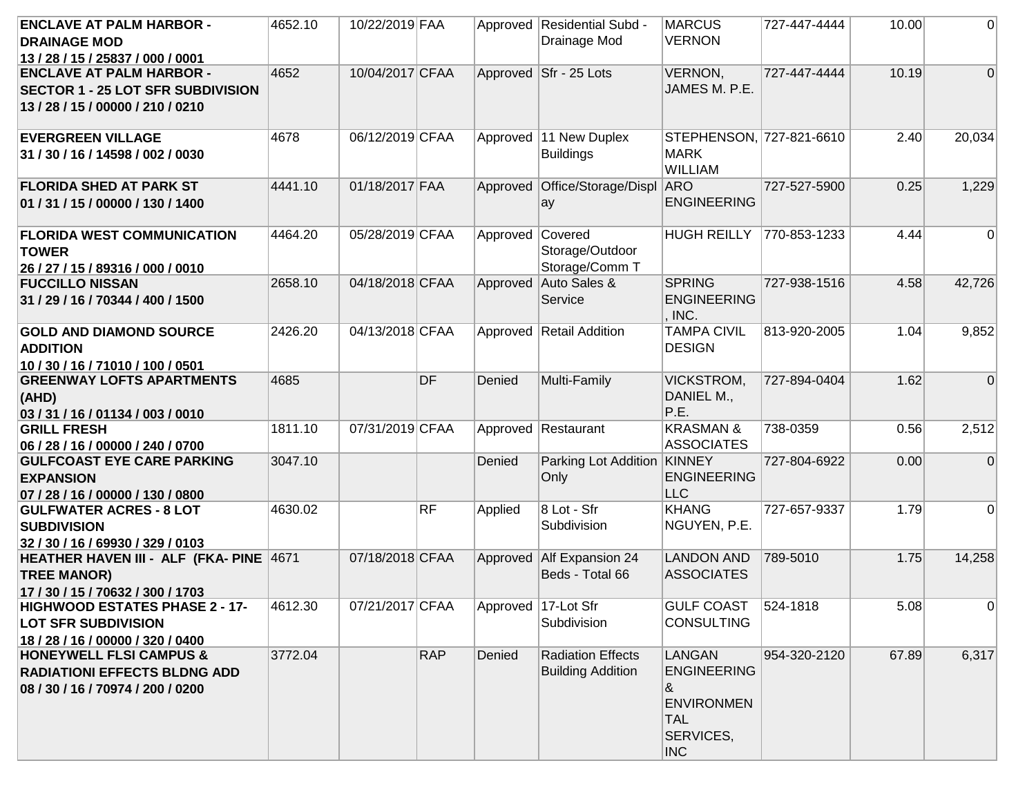| <b>ENCLAVE AT PALM HARBOR -</b><br><b>DRAINAGE MOD</b>                                                           | 4652.10 | 10/22/2019 FAA  |            |                     | Approved Residential Subd -<br>Drainage Mod          | <b>MARCUS</b><br><b>VERNON</b>                                                                         | 727-447-4444 | 10.00 | 0        |
|------------------------------------------------------------------------------------------------------------------|---------|-----------------|------------|---------------------|------------------------------------------------------|--------------------------------------------------------------------------------------------------------|--------------|-------|----------|
| 13 / 28 / 15 / 25837 / 000 / 0001                                                                                |         |                 |            |                     |                                                      |                                                                                                        |              |       |          |
| <b>ENCLAVE AT PALM HARBOR -</b><br><b>SECTOR 1 - 25 LOT SFR SUBDIVISION</b><br>13 / 28 / 15 / 00000 / 210 / 0210 | 4652    | 10/04/2017 CFAA |            |                     | Approved Sfr - 25 Lots                               | VERNON,<br>JAMES M. P.E.                                                                               | 727-447-4444 | 10.19 | $\Omega$ |
| <b>EVERGREEN VILLAGE</b><br>31 / 30 / 16 / 14598 / 002 / 0030                                                    | 4678    | 06/12/2019 CFAA |            |                     | Approved 11 New Duplex<br><b>Buildings</b>           | STEPHENSON, 727-821-6610<br><b>MARK</b><br><b>WILLIAM</b>                                              |              | 2.40  | 20,034   |
| <b>FLORIDA SHED AT PARK ST</b><br>01 / 31 / 15 / 00000 / 130 / 1400                                              | 4441.10 | 01/18/2017 FAA  |            |                     | Approved Office/Storage/Displ<br>ay                  | <b>ARO</b><br><b>ENGINEERING</b>                                                                       | 727-527-5900 | 0.25  | 1,229    |
| <b>FLORIDA WEST COMMUNICATION</b><br><b>TOWER</b><br>26 / 27 / 15 / 89316 / 000 / 0010                           | 4464.20 | 05/28/2019 CFAA |            | Approved Covered    | Storage/Outdoor<br>Storage/Comm T                    | <b>HUGH REILLY</b>                                                                                     | 770-853-1233 | 4.44  | $\Omega$ |
| <b>FUCCILLO NISSAN</b><br>31 / 29 / 16 / 70344 / 400 / 1500                                                      | 2658.10 | 04/18/2018 CFAA |            |                     | Approved Auto Sales &<br>Service                     | <b>SPRING</b><br><b>ENGINEERING</b><br>, INC.                                                          | 727-938-1516 | 4.58  | 42,726   |
| <b>GOLD AND DIAMOND SOURCE</b><br><b>ADDITION</b><br>10 / 30 / 16 / 71010 / 100 / 0501                           | 2426.20 | 04/13/2018 CFAA |            |                     | Approved Retail Addition                             | <b>TAMPA CIVIL</b><br><b>DESIGN</b>                                                                    | 813-920-2005 | 1.04  | 9,852    |
| <b>GREENWAY LOFTS APARTMENTS</b><br>(AHD)<br>03 / 31 / 16 / 01134 / 003 / 0010                                   | 4685    |                 | DF         | Denied              | Multi-Family                                         | VICKSTROM,<br>DANIEL M.,<br>P.E.                                                                       | 727-894-0404 | 1.62  | $\Omega$ |
| <b>GRILL FRESH</b><br>06 / 28 / 16 / 00000 / 240 / 0700                                                          | 1811.10 | 07/31/2019 CFAA |            |                     | Approved Restaurant                                  | <b>KRASMAN &amp;</b><br><b>ASSOCIATES</b>                                                              | 738-0359     | 0.56  | 2,512    |
| <b>GULFCOAST EYE CARE PARKING</b><br><b>EXPANSION</b><br>07 / 28 / 16 / 00000 / 130 / 0800                       | 3047.10 |                 |            | Denied              | Parking Lot Addition KINNEY<br>Only                  | <b>ENGINEERING</b><br><b>LLC</b>                                                                       | 727-804-6922 | 0.00  | $\Omega$ |
| <b>GULFWATER ACRES - 8 LOT</b><br><b>SUBDIVISION</b><br>32 / 30 / 16 / 69930 / 329 / 0103                        | 4630.02 |                 | RF         | Applied             | 8 Lot - Sfr<br>Subdivision                           | <b>KHANG</b><br>NGUYEN, P.E.                                                                           | 727-657-9337 | 1.79  | $\Omega$ |
| HEATHER HAVEN III - ALF (FKA- PINE 4671<br><b>TREE MANOR)</b><br>17 / 30 / 15 / 70632 / 300 / 1703               |         | 07/18/2018 CFAA |            |                     | Approved Alf Expansion 24<br>Beds - Total 66         | <b>LANDON AND</b><br><b>ASSOCIATES</b>                                                                 | 789-5010     | 1.75  | 14,258   |
| <b>HIGHWOOD ESTATES PHASE 2 - 17-</b><br><b>LOT SFR SUBDIVISION</b><br>18 / 28 / 16 / 00000 / 320 / 0400         | 4612.30 | 07/21/2017 CFAA |            | Approved 17-Lot Sfr | Subdivision                                          | GULF COAST   524-1818<br><b>CONSULTING</b>                                                             |              | 5.08  | ∪        |
| <b>HONEYWELL FLSI CAMPUS &amp;</b><br><b>RADIATIONI EFFECTS BLDNG ADD</b><br>08 / 30 / 16 / 70974 / 200 / 0200   | 3772.04 |                 | <b>RAP</b> | Denied              | <b>Radiation Effects</b><br><b>Building Addition</b> | <b>LANGAN</b><br><b>ENGINEERING</b><br>&<br><b>ENVIRONMEN</b><br><b>TAL</b><br>SERVICES,<br><b>INC</b> | 954-320-2120 | 67.89 | 6,317    |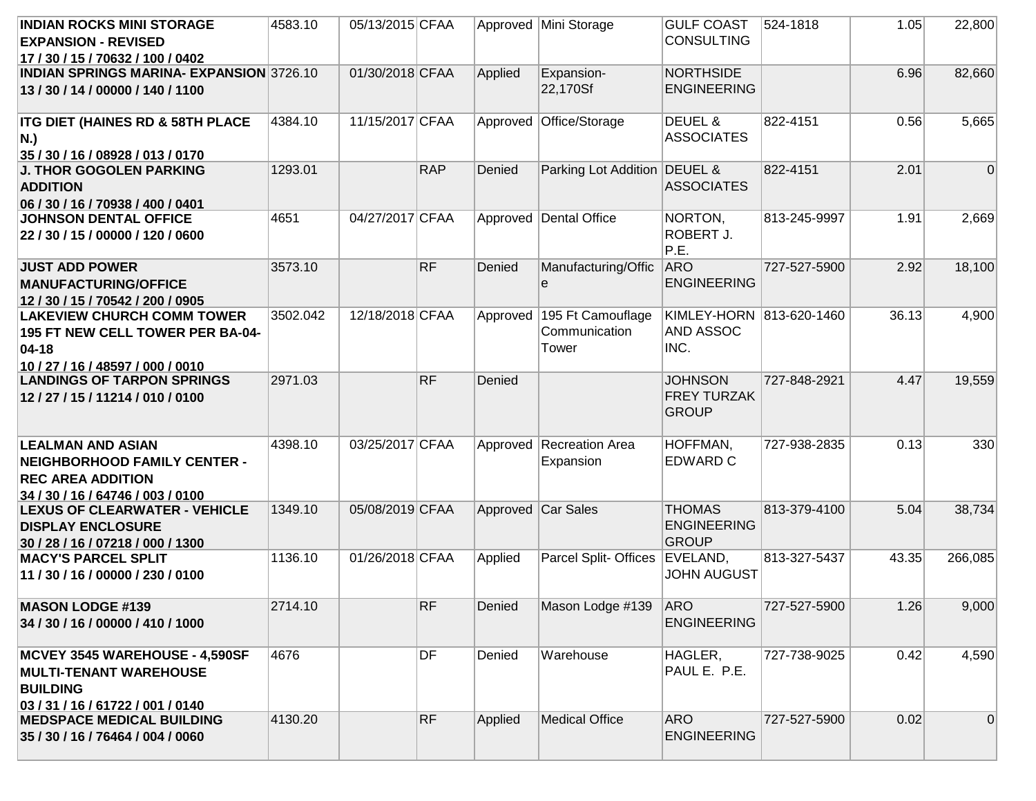| <b>INDIAN ROCKS MINI STORAGE</b><br><b>EXPANSION - REVISED</b>                                                            | 4583.10  | 05/13/2015 CFAA |            |         | Approved Mini Storage                                | <b>GULF COAST</b><br><b>CONSULTING</b>               | 524-1818     | 1.05  | 22,800         |
|---------------------------------------------------------------------------------------------------------------------------|----------|-----------------|------------|---------|------------------------------------------------------|------------------------------------------------------|--------------|-------|----------------|
| 17/30/15/70632/100/0402                                                                                                   |          |                 |            |         |                                                      |                                                      |              |       |                |
| <b>INDIAN SPRINGS MARINA- EXPANSION 3726.10</b><br>13/30/14/00000/140/1100                                                |          | 01/30/2018 CFAA |            | Applied | Expansion-<br>22,170Sf                               | <b>NORTHSIDE</b><br><b>ENGINEERING</b>               |              | 6.96  | 82,660         |
| <b>ITG DIET (HAINES RD &amp; 58TH PLACE</b><br>N.)<br>35 / 30 / 16 / 08928 / 013 / 0170                                   | 4384.10  | 11/15/2017 CFAA |            |         | Approved Office/Storage                              | DEUEL &<br><b>ASSOCIATES</b>                         | 822-4151     | 0.56  | 5,665          |
| <b>J. THOR GOGOLEN PARKING</b><br><b>ADDITION</b><br>06 / 30 / 16 / 70938 / 400 / 0401                                    | 1293.01  |                 | <b>RAP</b> | Denied  | Parking Lot Addition DEUEL &                         | <b>ASSOCIATES</b>                                    | 822-4151     | 2.01  | $\Omega$       |
| <b>JOHNSON DENTAL OFFICE</b><br>22 / 30 / 15 / 00000 / 120 / 0600                                                         | 4651     | 04/27/2017 CFAA |            |         | Approved Dental Office                               | NORTON,<br>ROBERT J.<br>P.E.                         | 813-245-9997 | 1.91  | 2,669          |
| <b>JUST ADD POWER</b><br><b>MANUFACTURING/OFFICE</b><br>12 / 30 / 15 / 70542 / 200 / 0905                                 | 3573.10  |                 | RF         | Denied  | Manufacturing/Offic<br>e                             | <b>ARO</b><br><b>ENGINEERING</b>                     | 727-527-5900 | 2.92  | 18,100         |
| <b>LAKEVIEW CHURCH COMM TOWER</b><br>195 FT NEW CELL TOWER PER BA-04-<br>$ 04 - 18$<br>10 / 27 / 16 / 48597 / 000 / 0010  | 3502.042 | 12/18/2018 CFAA |            |         | Approved 195 Ft Camouflage<br>Communication<br>Tower | KIMLEY-HORN 813-620-1460<br>AND ASSOC<br>INC.        |              | 36.13 | 4,900          |
| <b>LANDINGS OF TARPON SPRINGS</b><br>12 / 27 / 15 / 11214 / 010 / 0100                                                    | 2971.03  |                 | RF         | Denied  |                                                      | <b>JOHNSON</b><br><b>FREY TURZAK</b><br><b>GROUP</b> | 727-848-2921 | 4.47  | 19,559         |
| <b>LEALMAN AND ASIAN</b><br>NEIGHBORHOOD FAMILY CENTER -<br><b>REC AREA ADDITION</b><br>34 / 30 / 16 / 64746 / 003 / 0100 | 4398.10  | 03/25/2017 CFAA |            |         | Approved Recreation Area<br>Expansion                | HOFFMAN,<br><b>EDWARD C</b>                          | 727-938-2835 | 0.13  | 330            |
| <b>LEXUS OF CLEARWATER - VEHICLE</b><br><b>DISPLAY ENCLOSURE</b><br>30 / 28 / 16 / 07218 / 000 / 1300                     | 1349.10  | 05/08/2019 CFAA |            |         | Approved Car Sales                                   | <b>THOMAS</b><br><b>ENGINEERING</b><br><b>GROUP</b>  | 813-379-4100 | 5.04  | 38,734         |
| <b>MACY'S PARCEL SPLIT</b><br>11 / 30 / 16 / 00000 / 230 / 0100                                                           | 1136.10  | 01/26/2018 CFAA |            | Applied | Parcel Split- Offices   EVELAND,                     | <b>JOHN AUGUST</b>                                   | 813-327-5437 | 43.35 | 266,085        |
| <b>MASON LODGE #139</b><br>34 / 30 / 16 / 00000 / 410 / 1000                                                              | 2714.10  |                 | RF         |         | Denied Mason Lodge #139 ARO                          | <b>ENGINEERING</b>                                   | 727-527-5900 | 1.26  | 9,000          |
| MCVEY 3545 WAREHOUSE - 4,590SF<br><b>MULTI-TENANT WAREHOUSE</b><br><b>BUILDING</b><br>03 / 31 / 16 / 61722 / 001 / 0140   | 4676     |                 | DF         | Denied  | Warehouse                                            | HAGLER,<br>PAUL E. P.E.                              | 727-738-9025 | 0.42  | 4,590          |
| <b>MEDSPACE MEDICAL BUILDING</b><br>35 / 30 / 16 / 76464 / 004 / 0060                                                     | 4130.20  |                 | RF         | Applied | <b>Medical Office</b>                                | <b>ARO</b><br><b>ENGINEERING</b>                     | 727-527-5900 | 0.02  | $\overline{0}$ |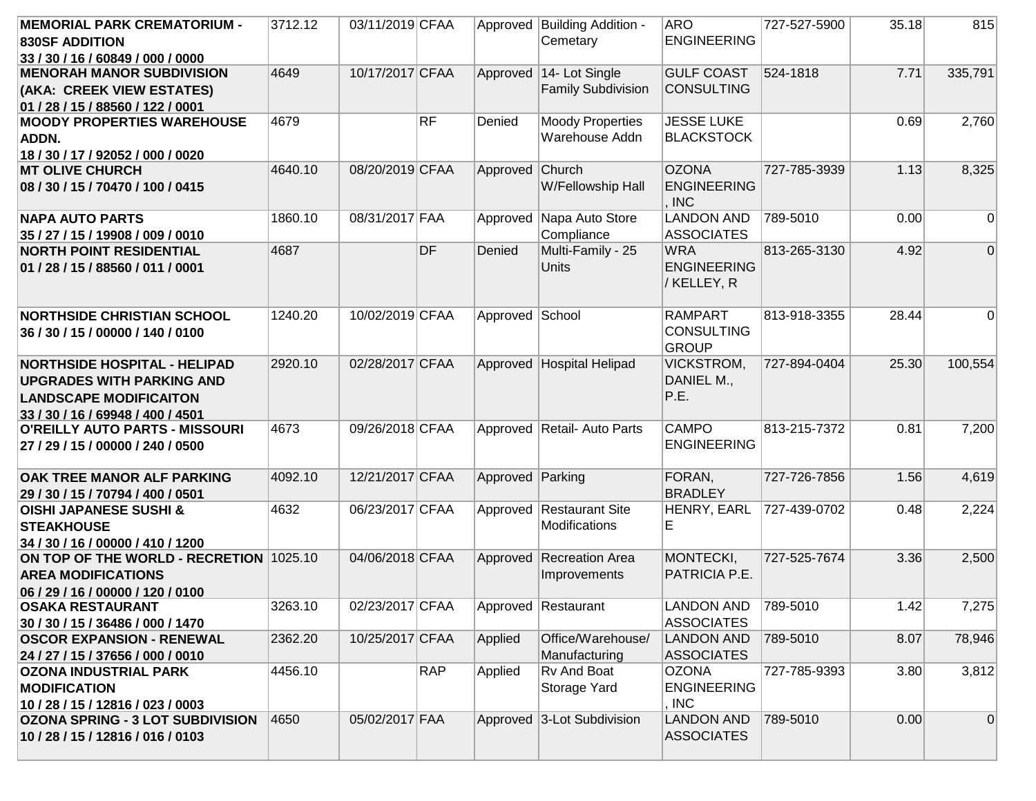| <b>MEMORIAL PARK CREMATORIUM -</b>      | 3712.12 | 03/11/2019 CFAA |            |                  | Approved Building Addition - | <b>ARO</b>                  | 727-527-5900 | 35.18 | 815      |
|-----------------------------------------|---------|-----------------|------------|------------------|------------------------------|-----------------------------|--------------|-------|----------|
| <b>830SF ADDITION</b>                   |         |                 |            |                  | Cemetary                     | <b>ENGINEERING</b>          |              |       |          |
| 33/30/16/60849/000/0000                 |         |                 |            |                  |                              |                             |              |       |          |
| <b>MENORAH MANOR SUBDIVISION</b>        | 4649    | 10/17/2017 CFAA |            |                  | Approved 14- Lot Single      | <b>GULF COAST</b>           | 524-1818     | 7.71  | 335,791  |
| (AKA: CREEK VIEW ESTATES)               |         |                 |            |                  | <b>Family Subdivision</b>    | <b>CONSULTING</b>           |              |       |          |
| 01 / 28 / 15 / 88560 / 122 / 0001       |         |                 |            |                  |                              |                             |              |       |          |
| <b>MOODY PROPERTIES WAREHOUSE</b>       | 4679    |                 | <b>RF</b>  | Denied           | <b>Moody Properties</b>      | <b>JESSE LUKE</b>           |              | 0.69  | 2,760    |
| <b>ADDN.</b>                            |         |                 |            |                  | Warehouse Addn               | <b>BLACKSTOCK</b>           |              |       |          |
| 18 / 30 / 17 / 92052 / 000 / 0020       |         |                 |            |                  |                              |                             |              |       |          |
| <b>MT OLIVE CHURCH</b>                  | 4640.10 | 08/20/2019 CFAA |            | Approved Church  |                              | <b>OZONA</b>                | 727-785-3939 | 1.13  | 8,325    |
| 08 / 30 / 15 / 70470 / 100 / 0415       |         |                 |            |                  | W/Fellowship Hall            | <b>ENGINEERING</b><br>, INC |              |       |          |
| <b>NAPA AUTO PARTS</b>                  | 1860.10 | 08/31/2017 FAA  |            |                  | Approved Napa Auto Store     | <b>LANDON AND</b>           | 789-5010     | 0.00  | $\Omega$ |
| 35 / 27 / 15 / 19908 / 009 / 0010       |         |                 |            |                  | Compliance                   | <b>ASSOCIATES</b>           |              |       |          |
| <b>NORTH POINT RESIDENTIAL</b>          | 4687    |                 | <b>DF</b>  | Denied           | Multi-Family - 25            | <b>WRA</b>                  | 813-265-3130 | 4.92  | 0        |
| 01 / 28 / 15 / 88560 / 011 / 0001       |         |                 |            |                  | <b>Units</b>                 | <b>ENGINEERING</b>          |              |       |          |
|                                         |         |                 |            |                  |                              | / KELLEY, R                 |              |       |          |
|                                         |         |                 |            |                  |                              |                             |              |       |          |
| <b>NORTHSIDE CHRISTIAN SCHOOL</b>       | 1240.20 | 10/02/2019 CFAA |            | Approved School  |                              | <b>RAMPART</b>              | 813-918-3355 | 28.44 | 0        |
| 36 / 30 / 15 / 00000 / 140 / 0100       |         |                 |            |                  |                              | <b>CONSULTING</b>           |              |       |          |
|                                         |         |                 |            |                  |                              | <b>GROUP</b>                |              |       |          |
| <b>NORTHSIDE HOSPITAL - HELIPAD</b>     | 2920.10 | 02/28/2017 CFAA |            |                  | Approved Hospital Helipad    | <b>VICKSTROM,</b>           | 727-894-0404 | 25.30 | 100,554  |
| <b>UPGRADES WITH PARKING AND</b>        |         |                 |            |                  |                              | DANIEL M.,                  |              |       |          |
| <b>LANDSCAPE MODIFICAITON</b>           |         |                 |            |                  |                              | P.E.                        |              |       |          |
| 33 / 30 / 16 / 69948 / 400 / 4501       |         |                 |            |                  |                              |                             |              |       |          |
| <b>O'REILLY AUTO PARTS - MISSOURI</b>   | 4673    | 09/26/2018 CFAA |            |                  | Approved Retail- Auto Parts  | <b>CAMPO</b>                | 813-215-7372 | 0.81  | 7,200    |
| 27 / 29 / 15 / 00000 / 240 / 0500       |         |                 |            |                  |                              | <b>ENGINEERING</b>          |              |       |          |
|                                         |         |                 |            |                  |                              |                             |              |       |          |
| OAK TREE MANOR ALF PARKING              | 4092.10 | 12/21/2017 CFAA |            | Approved Parking |                              | FORAN,                      | 727-726-7856 | 1.56  | 4,619    |
| 29 / 30 / 15 / 70794 / 400 / 0501       |         |                 |            |                  |                              | <b>BRADLEY</b>              |              |       |          |
| <b>OISHI JAPANESE SUSHI &amp;</b>       | 4632    | 06/23/2017 CFAA |            |                  | Approved Restaurant Site     | HENRY, EARL                 | 727-439-0702 | 0.48  | 2,224    |
| <b>STEAKHOUSE</b>                       |         |                 |            |                  | <b>Modifications</b>         | E                           |              |       |          |
| 34 / 30 / 16 / 00000 / 410 / 1200       |         |                 |            |                  |                              |                             |              |       |          |
| ON TOP OF THE WORLD - RECRETION 1025.10 |         | 04/06/2018 CFAA |            |                  | Approved Recreation Area     | MONTECKI,                   | 727-525-7674 | 3.36  | 2,500    |
| <b>AREA MODIFICATIONS</b>               |         |                 |            |                  | Improvements                 | PATRICIA P.E.               |              |       |          |
| 06 / 29 / 16 / 00000 / 120 / 0100       |         |                 |            |                  |                              |                             |              |       |          |
| OSAKA RESTAURANT                        | 3263.10 | 02/23/2017 CFAA |            |                  | Approved Restaurant          | LANDON AND 789-5010         |              | 1.42  | 7,275    |
| 30 / 30 / 15 / 36486 / 000 / 1470       |         |                 |            |                  |                              | <b>ASSOCIATES</b>           |              |       |          |
| <b>OSCOR EXPANSION - RENEWAL</b>        | 2362.20 | 10/25/2017 CFAA |            | Applied          | Office/Warehouse/            | <b>LANDON AND</b>           | 789-5010     | 8.07  | 78,946   |
| 24 / 27 / 15 / 37656 / 000 / 0010       |         |                 |            |                  | Manufacturing                | <b>ASSOCIATES</b>           |              |       |          |
| <b>OZONA INDUSTRIAL PARK</b>            | 4456.10 |                 | <b>RAP</b> | Applied          | Rv And Boat                  | <b>OZONA</b>                | 727-785-9393 | 3.80  | 3,812    |
| <b>MODIFICATION</b>                     |         |                 |            |                  | Storage Yard                 | <b>ENGINEERING</b>          |              |       |          |
| 10 / 28 / 15 / 12816 / 023 / 0003       |         |                 |            |                  |                              | , INC                       |              |       |          |
| <b>OZONA SPRING - 3 LOT SUBDIVISION</b> | 4650    | 05/02/2017 FAA  |            |                  | Approved 3-Lot Subdivision   | <b>LANDON AND</b>           | 789-5010     | 0.00  | 0        |
| 10 / 28 / 15 / 12816 / 016 / 0103       |         |                 |            |                  |                              | <b>ASSOCIATES</b>           |              |       |          |
|                                         |         |                 |            |                  |                              |                             |              |       |          |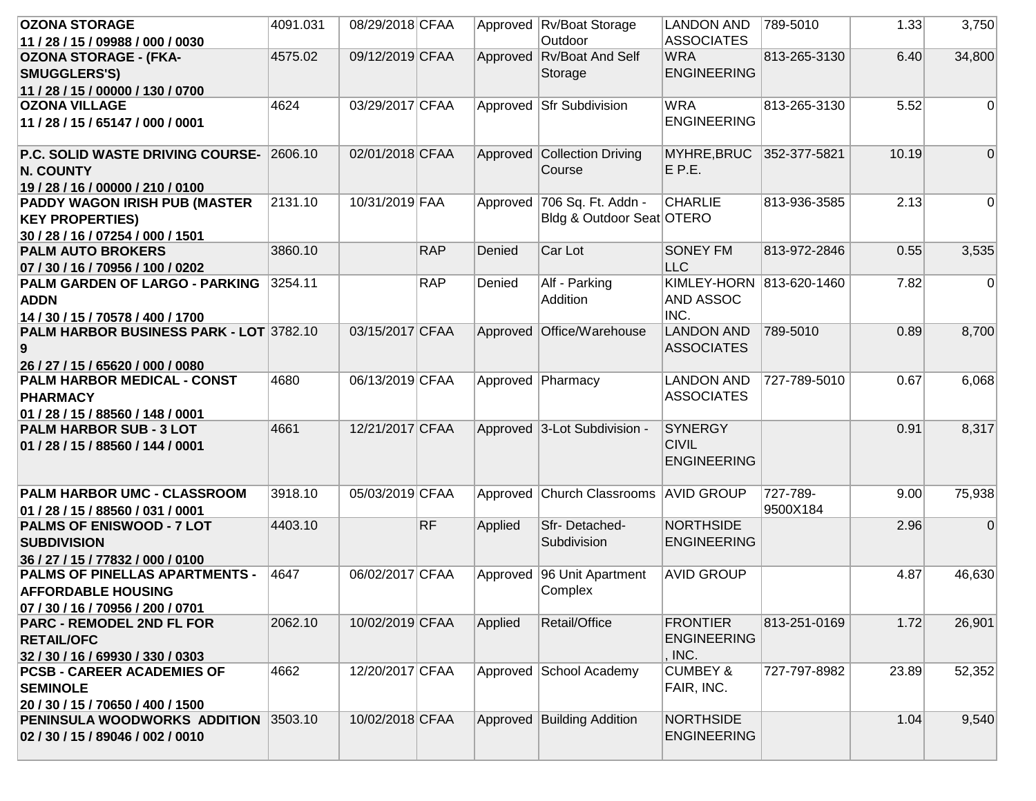| <b>OZONA STORAGE</b>                                                                             | 4091.031 | 08/29/2018 CFAA |            |         | Approved Rv/Boat Storage                                 | <b>LANDON AND</b>                                    | 789-5010             | 1.33  | 3,750    |
|--------------------------------------------------------------------------------------------------|----------|-----------------|------------|---------|----------------------------------------------------------|------------------------------------------------------|----------------------|-------|----------|
| 11 / 28 / 15 / 09988 / 000 / 0030                                                                |          |                 |            |         | Outdoor                                                  | <b>ASSOCIATES</b>                                    |                      |       |          |
| <b>OZONA STORAGE - (FKA-</b>                                                                     | 4575.02  | 09/12/2019 CFAA |            |         | Approved Rv/Boat And Self                                | <b>WRA</b>                                           | 813-265-3130         | 6.40  | 34,800   |
| <b>SMUGGLERS'S)</b>                                                                              |          |                 |            |         | Storage                                                  | <b>ENGINEERING</b>                                   |                      |       |          |
| 11 / 28 / 15 / 00000 / 130 / 0700                                                                |          |                 |            |         |                                                          |                                                      |                      |       |          |
| <b>OZONA VILLAGE</b>                                                                             | 4624     | 03/29/2017 CFAA |            |         | Approved Sfr Subdivision                                 | <b>WRA</b>                                           | 813-265-3130         | 5.52  | $\Omega$ |
| 11 / 28 / 15 / 65147 / 000 / 0001                                                                |          |                 |            |         |                                                          | <b>ENGINEERING</b>                                   |                      |       |          |
| P.C. SOLID WASTE DRIVING COURSE-<br>N. COUNTY<br>19 / 28 / 16 / 00000 / 210 / 0100               | 2606.10  | 02/01/2018 CFAA |            |         | Approved Collection Driving<br>Course                    | MYHRE, BRUC<br>$E$ P.E.                              | 352-377-5821         | 10.19 | 0        |
| PADDY WAGON IRISH PUB (MASTER<br><b>KEY PROPERTIES)</b><br>30 / 28 / 16 / 07254 / 000 / 1501     | 2131.10  | 10/31/2019 FAA  |            |         | Approved 706 Sq. Ft. Addn -<br>Bldg & Outdoor Seat OTERO | <b>CHARLIE</b>                                       | 813-936-3585         | 2.13  | $\Omega$ |
| <b>PALM AUTO BROKERS</b><br>07 / 30 / 16 / 70956 / 100 / 0202                                    | 3860.10  |                 | <b>RAP</b> | Denied  | Car Lot                                                  | <b>SONEY FM</b><br><b>LLC</b>                        | 813-972-2846         | 0.55  | 3,535    |
| <b>PALM GARDEN OF LARGO - PARKING</b><br><b>ADDN</b><br>14 / 30 / 15 / 70578 / 400 / 1700        | 3254.11  |                 | <b>RAP</b> | Denied  | Alf - Parking<br>Addition                                | KIMLEY-HORN 813-620-1460<br>AND ASSOC<br>INC.        |                      | 7.82  | $\Omega$ |
| PALM HARBOR BUSINESS PARK - LOT 3782.10<br>9<br>26 / 27 / 15 / 65620 / 000 / 0080                |          | 03/15/2017 CFAA |            |         | Approved Office/Warehouse                                | <b>LANDON AND</b><br><b>ASSOCIATES</b>               | 789-5010             | 0.89  | 8,700    |
| PALM HARBOR MEDICAL - CONST<br><b>PHARMACY</b><br>01 / 28 / 15 / 88560 / 148 / 0001              | 4680     | 06/13/2019 CFAA |            |         | Approved Pharmacy                                        | <b>LANDON AND</b><br><b>ASSOCIATES</b>               | 727-789-5010         | 0.67  | 6,068    |
| <b>PALM HARBOR SUB - 3 LOT</b><br>01 / 28 / 15 / 88560 / 144 / 0001                              | 4661     | 12/21/2017 CFAA |            |         | Approved 3-Lot Subdivision -                             | <b>SYNERGY</b><br><b>CIVIL</b><br><b>ENGINEERING</b> |                      | 0.91  | 8,317    |
| <b>PALM HARBOR UMC - CLASSROOM</b><br>01 / 28 / 15 / 88560 / 031 / 0001                          | 3918.10  | 05/03/2019 CFAA |            |         | Approved Church Classrooms AVID GROUP                    |                                                      | 727-789-<br>9500X184 | 9.00  | 75,938   |
| <b>PALMS OF ENISWOOD - 7 LOT</b><br><b>SUBDIVISION</b><br>36 / 27 / 15 / 77832 / 000 / 0100      | 4403.10  |                 | RF         | Applied | Sfr-Detached-<br>Subdivision                             | <b>NORTHSIDE</b><br><b>ENGINEERING</b>               |                      | 2.96  | $\Omega$ |
| PALMS OF PINELLAS APARTMENTS -<br><b>AFFORDABLE HOUSING</b><br>07 / 30 / 16 / 70956 / 200 / 0701 | 4647     | 06/02/2017 CFAA |            |         | Approved 96 Unit Apartment<br>Complex                    | <b>AVID GROUP</b>                                    |                      | 4.87  | 46,630   |
| <b>PARC - REMODEL 2ND FL FOR</b><br><b>RETAIL/OFC</b><br>32 / 30 / 16 / 69930 / 330 / 0303       | 2062.10  | 10/02/2019 CFAA |            | Applied | Retail/Office                                            | <b>FRONTIER</b><br><b>ENGINEERING</b><br>, INC.      | 813-251-0169         | 1.72  | 26,901   |
| <b>PCSB - CAREER ACADEMIES OF</b><br><b>SEMINOLE</b><br>20 / 30 / 15 / 70650 / 400 / 1500        | 4662     | 12/20/2017 CFAA |            |         | Approved School Academy                                  | <b>CUMBEY &amp;</b><br>FAIR, INC.                    | 727-797-8982         | 23.89 | 52,352   |
| PENINSULA WOODWORKS ADDITION<br>02 / 30 / 15 / 89046 / 002 / 0010                                | 3503.10  | 10/02/2018 CFAA |            |         | Approved Building Addition                               | <b>NORTHSIDE</b><br><b>ENGINEERING</b>               |                      | 1.04  | 9,540    |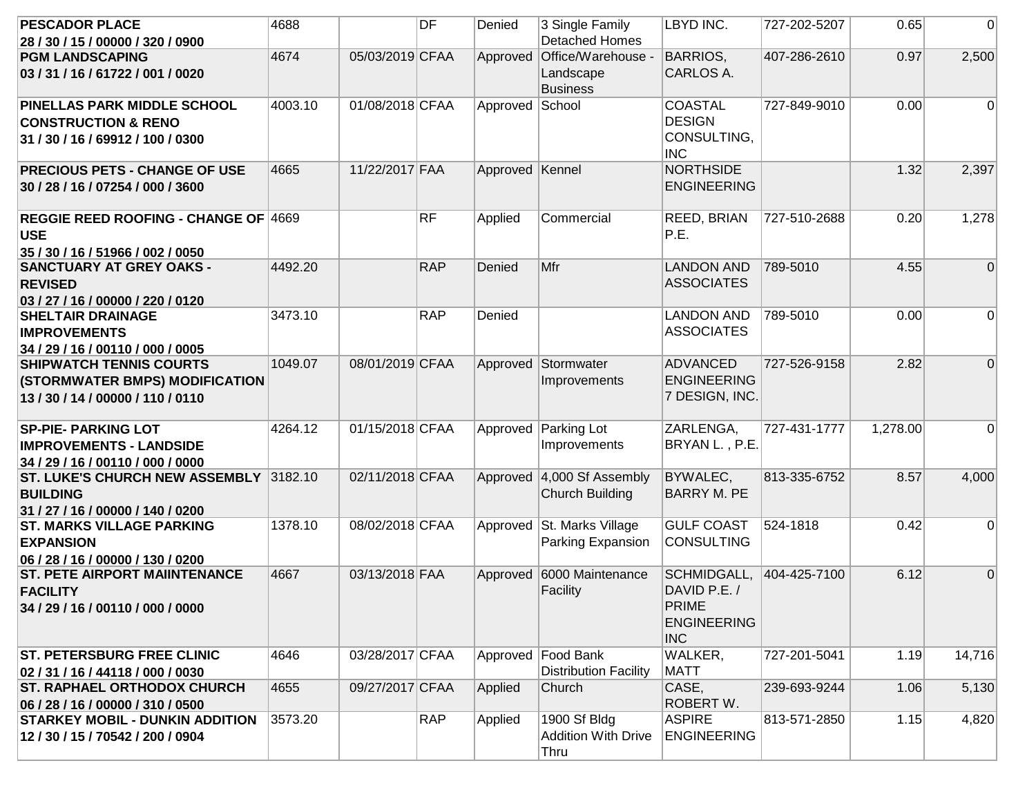| <b>PESCADOR PLACE</b>                       | 4688    |                 | DF         | Denied            | 3 Single Family              | LBYD INC.          | 727-202-5207 | 0.65     | $\Omega$ |
|---------------------------------------------|---------|-----------------|------------|-------------------|------------------------------|--------------------|--------------|----------|----------|
| 28 / 30 / 15 / 00000 / 320 / 0900           |         |                 |            |                   | <b>Detached Homes</b>        |                    |              |          |          |
| <b>PGM LANDSCAPING</b>                      | 4674    | 05/03/2019 CFAA |            |                   | Approved Office/Warehouse -  | <b>BARRIOS.</b>    | 407-286-2610 | 0.97     | 2,500    |
| 03 / 31 / 16 / 61722 / 001 / 0020           |         |                 |            |                   | Landscape                    | CARLOS A.          |              |          |          |
|                                             |         |                 |            |                   | <b>Business</b>              |                    |              |          |          |
| PINELLAS PARK MIDDLE SCHOOL                 | 4003.10 | 01/08/2018 CFAA |            | Approved School   |                              | <b>COASTAL</b>     | 727-849-9010 | 0.00     | $\Omega$ |
| <b>CONSTRUCTION &amp; RENO</b>              |         |                 |            |                   |                              | <b>DESIGN</b>      |              |          |          |
| 31 / 30 / 16 / 69912 / 100 / 0300           |         |                 |            |                   |                              | CONSULTING,        |              |          |          |
|                                             |         |                 |            |                   |                              | <b>INC</b>         |              |          |          |
| <b>PRECIOUS PETS - CHANGE OF USE</b>        | 4665    | 11/22/2017 FAA  |            | Approved   Kennel |                              | <b>NORTHSIDE</b>   |              | 1.32     | 2,397    |
| 30 / 28 / 16 / 07254 / 000 / 3600           |         |                 |            |                   |                              | <b>ENGINEERING</b> |              |          |          |
|                                             |         |                 |            |                   |                              |                    |              |          |          |
| <b>REGGIE REED ROOFING - CHANGE OF 4669</b> |         |                 | RF         | Applied           | Commercial                   | REED, BRIAN        | 727-510-2688 | 0.20     | 1,278    |
| <b>USE</b>                                  |         |                 |            |                   |                              | P.E.               |              |          |          |
| 35 / 30 / 16 / 51966 / 002 / 0050           |         |                 |            |                   |                              |                    |              |          |          |
| <b>SANCTUARY AT GREY OAKS -</b>             | 4492.20 |                 | <b>RAP</b> | Denied            | Mfr                          | <b>LANDON AND</b>  | 789-5010     | 4.55     | $\Omega$ |
| <b>REVISED</b>                              |         |                 |            |                   |                              | <b>ASSOCIATES</b>  |              |          |          |
| 03 / 27 / 16 / 00000 / 220 / 0120           |         |                 |            |                   |                              |                    |              |          |          |
| <b>SHELTAIR DRAINAGE</b>                    | 3473.10 |                 | <b>RAP</b> | Denied            |                              | <b>LANDON AND</b>  | 789-5010     | 0.00     | 0        |
| <b>IMPROVEMENTS</b>                         |         |                 |            |                   |                              | <b>ASSOCIATES</b>  |              |          |          |
| 34 / 29 / 16 / 00110 / 000 / 0005           |         |                 |            |                   |                              |                    |              |          |          |
| <b>SHIPWATCH TENNIS COURTS</b>              | 1049.07 | 08/01/2019 CFAA |            |                   | Approved Stormwater          | <b>ADVANCED</b>    | 727-526-9158 | 2.82     | $\Omega$ |
| (STORMWATER BMPS) MODIFICATION              |         |                 |            |                   | Improvements                 | <b>ENGINEERING</b> |              |          |          |
| 13/30/14/00000/110/0110                     |         |                 |            |                   |                              | 7 DESIGN, INC.     |              |          |          |
| <b>SP-PIE- PARKING LOT</b>                  | 4264.12 | 01/15/2018 CFAA |            |                   | Approved Parking Lot         | ZARLENGA,          | 727-431-1777 | 1,278.00 | $\Omega$ |
| <b>IMPROVEMENTS - LANDSIDE</b>              |         |                 |            |                   | Improvements                 | BRYAN L., P.E.     |              |          |          |
| 34 / 29 / 16 / 00110 / 000 / 0000           |         |                 |            |                   |                              |                    |              |          |          |
| ST. LUKE'S CHURCH NEW ASSEMBLY 3182.10      |         | 02/11/2018 CFAA |            |                   | Approved 4,000 Sf Assembly   | BYWALEC,           | 813-335-6752 | 8.57     | 4,000    |
| <b>BUILDING</b>                             |         |                 |            |                   | Church Building              | <b>BARRY M. PE</b> |              |          |          |
| 31 / 27 / 16 / 00000 / 140 / 0200           |         |                 |            |                   |                              |                    |              |          |          |
| <b>ST. MARKS VILLAGE PARKING</b>            | 1378.10 | 08/02/2018 CFAA |            |                   | Approved St. Marks Village   | <b>GULF COAST</b>  | 524-1818     | 0.42     | $\Omega$ |
| <b>EXPANSION</b>                            |         |                 |            |                   | Parking Expansion            | <b>CONSULTING</b>  |              |          |          |
| 06 / 28 / 16 / 00000 / 130 / 0200           |         |                 |            |                   |                              |                    |              |          |          |
| <b>ST. PETE AIRPORT MAIINTENANCE</b>        | 4667    | 03/13/2018 FAA  |            |                   | Approved 6000 Maintenance    | SCHMIDGALL,        | 404-425-7100 | 6.12     | $\Omega$ |
| <b>FACILITY</b>                             |         |                 |            |                   | Facility                     | DAVID P.E. /       |              |          |          |
| 34 / 29 / 16 / 00110 / 000 / 0000           |         |                 |            |                   |                              | <b>PRIME</b>       |              |          |          |
|                                             |         |                 |            |                   |                              | <b>ENGINEERING</b> |              |          |          |
|                                             |         |                 |            |                   |                              | <b>INC</b>         |              |          |          |
| <b>ST. PETERSBURG FREE CLINIC</b>           | 4646    | 03/28/2017 CFAA |            |                   | Approved Food Bank           | WALKER,            | 727-201-5041 | 1.19     | 14,716   |
| 02 / 31 / 16 / 44118 / 000 / 0030           |         |                 |            |                   | <b>Distribution Facility</b> | <b>MATT</b>        |              |          |          |
| <b>ST. RAPHAEL ORTHODOX CHURCH</b>          | 4655    | 09/27/2017 CFAA |            | Applied           | Church                       | CASE,              | 239-693-9244 | 1.06     | 5,130    |
| 06 / 28 / 16 / 00000 / 310 / 0500           |         |                 |            |                   |                              | ROBERT W.          |              |          |          |
| <b>STARKEY MOBIL - DUNKIN ADDITION</b>      | 3573.20 |                 | RAP        | Applied           | 1900 Sf Bldg                 | <b>ASPIRE</b>      | 813-571-2850 | 1.15     | 4,820    |
| 12 / 30 / 15 / 70542 / 200 / 0904           |         |                 |            |                   | <b>Addition With Drive</b>   | <b>ENGINEERING</b> |              |          |          |
|                                             |         |                 |            |                   | Thru                         |                    |              |          |          |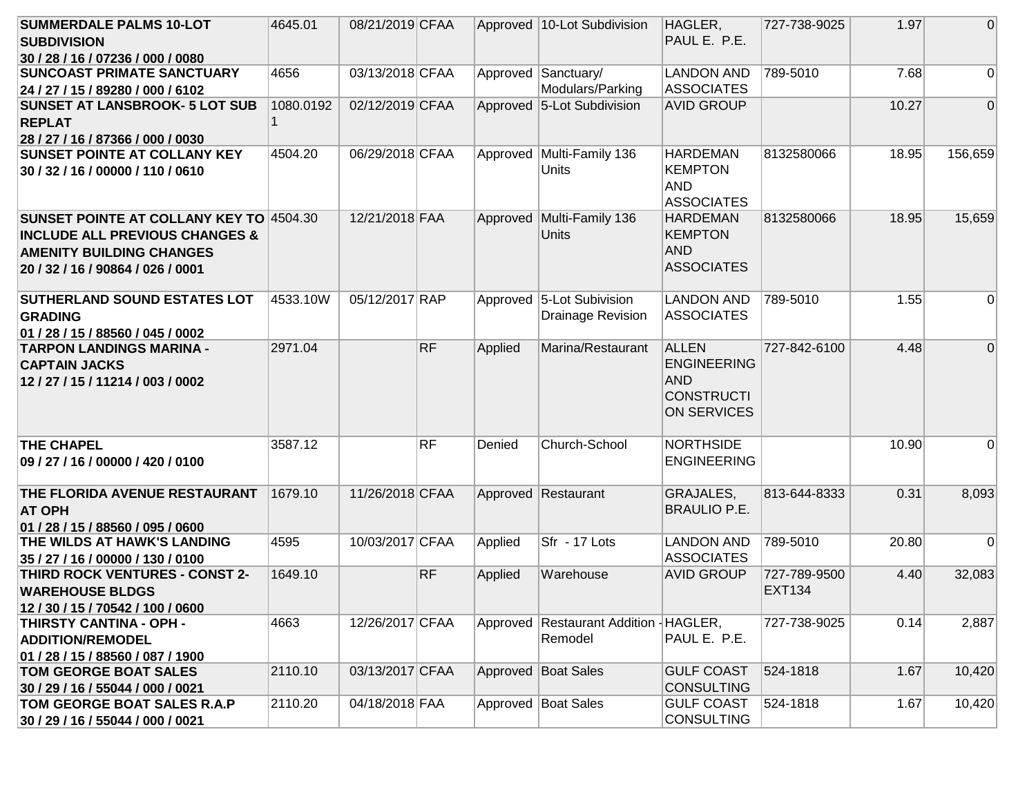| <b>SUMMERDALE PALMS 10-LOT</b>                                    | 4645.01   | 08/21/2019 CFAA |     |         | Approved 10-Lot Subdivision            | HAGLER,                                | 727-738-9025  | 1.97  | $\Omega$       |
|-------------------------------------------------------------------|-----------|-----------------|-----|---------|----------------------------------------|----------------------------------------|---------------|-------|----------------|
| <b>SUBDIVISION</b>                                                |           |                 |     |         |                                        | PAUL E. P.E.                           |               |       |                |
| 30 / 28 / 16 / 07236 / 000 / 0080                                 |           |                 |     |         |                                        |                                        |               |       |                |
| <b>SUNCOAST PRIMATE SANCTUARY</b>                                 | 4656      | 03/13/2018 CFAA |     |         | Approved Sanctuary/                    | <b>LANDON AND</b>                      | 789-5010      | 7.68  | $\Omega$       |
| 24 / 27 / 15 / 89280 / 000 / 6102                                 |           |                 |     |         | Modulars/Parking                       | <b>ASSOCIATES</b>                      |               |       |                |
| <b>SUNSET AT LANSBROOK- 5 LOT SUB</b>                             | 1080.0192 | 02/12/2019 CFAA |     |         | Approved 5-Lot Subdivision             | <b>AVID GROUP</b>                      |               | 10.27 | 0              |
| <b>REPLAT</b>                                                     | 1         |                 |     |         |                                        |                                        |               |       |                |
| 28 / 27 / 16 / 87366 / 000 / 0030                                 |           |                 |     |         |                                        |                                        |               |       |                |
| <b>SUNSET POINTE AT COLLANY KEY</b>                               | 4504.20   | 06/29/2018 CFAA |     |         | Approved Multi-Family 136              | <b>HARDEMAN</b>                        | 8132580066    | 18.95 | 156,659        |
| 30 / 32 / 16 / 00000 / 110 / 0610                                 |           |                 |     |         | Units                                  | <b>KEMPTON</b>                         |               |       |                |
|                                                                   |           |                 |     |         |                                        | <b>AND</b>                             |               |       |                |
|                                                                   |           |                 |     |         |                                        | <b>ASSOCIATES</b>                      |               |       |                |
| <b>SUNSET POINTE AT COLLANY KEY TO 4504.30</b>                    |           | 12/21/2018 FAA  |     |         | Approved Multi-Family 136              | <b>HARDEMAN</b>                        | 8132580066    | 18.95 | 15,659         |
| <b>INCLUDE ALL PREVIOUS CHANGES &amp;</b>                         |           |                 |     |         | <b>Units</b>                           | <b>KEMPTON</b>                         |               |       |                |
| <b>AMENITY BUILDING CHANGES</b>                                   |           |                 |     |         |                                        | <b>AND</b>                             |               |       |                |
| 20 / 32 / 16 / 90864 / 026 / 0001                                 |           |                 |     |         |                                        | <b>ASSOCIATES</b>                      |               |       |                |
|                                                                   |           |                 |     |         |                                        |                                        |               |       |                |
| <b>SUTHERLAND SOUND ESTATES LOT</b>                               | 4533.10W  | 05/12/2017 RAP  |     |         | Approved 5-Lot Subivision              | <b>LANDON AND</b>                      | 789-5010      | 1.55  | $\overline{0}$ |
| <b>GRADING</b>                                                    |           |                 |     |         | Drainage Revision                      | <b>ASSOCIATES</b>                      |               |       |                |
| 01 / 28 / 15 / 88560 / 045 / 0002                                 |           |                 |     |         |                                        |                                        |               |       |                |
| <b>TARPON LANDINGS MARINA -</b>                                   | 2971.04   |                 | RF  | Applied | Marina/Restaurant                      | <b>ALLEN</b>                           | 727-842-6100  | 4.48  | $\mathbf 0$    |
| <b>CAPTAIN JACKS</b>                                              |           |                 |     |         |                                        | <b>ENGINEERING</b>                     |               |       |                |
| 12/27/15/11214/003/0002                                           |           |                 |     |         |                                        | <b>AND</b>                             |               |       |                |
|                                                                   |           |                 |     |         |                                        | <b>CONSTRUCTI</b>                      |               |       |                |
|                                                                   |           |                 |     |         |                                        | ON SERVICES                            |               |       |                |
|                                                                   |           |                 |     |         |                                        |                                        |               |       |                |
| <b>THE CHAPEL</b>                                                 | 3587.12   |                 | RF. | Denied  | Church-School                          | <b>NORTHSIDE</b>                       |               | 10.90 | $\overline{0}$ |
| 09 / 27 / 16 / 00000 / 420 / 0100                                 |           |                 |     |         |                                        | <b>ENGINEERING</b>                     |               |       |                |
|                                                                   |           |                 |     |         |                                        |                                        |               |       |                |
| THE FLORIDA AVENUE RESTAURANT                                     | 1679.10   | 11/26/2018 CFAA |     |         | Approved Restaurant                    | <b>GRAJALES,</b>                       | 813-644-8333  | 0.31  | 8,093          |
| <b>AT OPH</b>                                                     |           |                 |     |         |                                        | <b>BRAULIO P.E.</b>                    |               |       |                |
| 01 / 28 / 15 / 88560 / 095 / 0600                                 |           |                 |     |         |                                        |                                        |               |       |                |
| THE WILDS AT HAWK'S LANDING                                       | 4595      | 10/03/2017 CFAA |     | Applied | Sfr - 17 Lots                          | <b>LANDON AND</b>                      | 789-5010      | 20.80 | $\Omega$       |
| 35 / 27 / 16 / 00000 / 130 / 0100                                 | 1649.10   |                 | RF  |         | Warehouse                              | <b>ASSOCIATES</b><br><b>AVID GROUP</b> | 727-789-9500  | 4.40  | 32,083         |
| THIRD ROCK VENTURES - CONST 2-                                    |           |                 |     | Applied |                                        |                                        | <b>EXT134</b> |       |                |
| <b>WAREHOUSE BLDGS</b>                                            |           |                 |     |         |                                        |                                        |               |       |                |
| 12/30/15/70542/100/0600<br><b>THIRSTY CANTINA - OPH -</b>         | 4663      | 12/26/2017 CFAA |     |         | Approved Restaurant Addition - HAGLER, |                                        | 727-738-9025  | 0.14  | 2,887          |
| <b>ADDITION/REMODEL</b>                                           |           |                 |     |         | Remodel                                | PAUL E. P.E.                           |               |       |                |
|                                                                   |           |                 |     |         |                                        |                                        |               |       |                |
| 01 / 28 / 15 / 88560 / 087 / 1900<br><b>TOM GEORGE BOAT SALES</b> | 2110.10   | 03/13/2017 CFAA |     |         | Approved Boat Sales                    | <b>GULF COAST</b>                      | 524-1818      | 1.67  | 10,420         |
| 30 / 29 / 16 / 55044 / 000 / 0021                                 |           |                 |     |         |                                        | <b>CONSULTING</b>                      |               |       |                |
| TOM GEORGE BOAT SALES R.A.P                                       | 2110.20   | 04/18/2018 FAA  |     |         | Approved Boat Sales                    | <b>GULF COAST</b>                      | 524-1818      | 1.67  | 10,420         |
| 30 / 29 / 16 / 55044 / 000 / 0021                                 |           |                 |     |         |                                        | <b>CONSULTING</b>                      |               |       |                |
|                                                                   |           |                 |     |         |                                        |                                        |               |       |                |